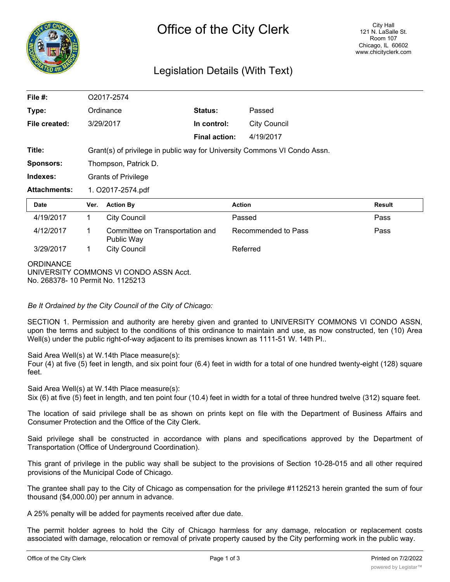

## Legislation Details (With Text)

| File $#$ :                                            | O2017-2574        |                                                                           |                      |                     |               |  |
|-------------------------------------------------------|-------------------|---------------------------------------------------------------------------|----------------------|---------------------|---------------|--|
| Type:                                                 |                   | Ordinance                                                                 | Status:              | Passed              |               |  |
| File created:                                         |                   | 3/29/2017                                                                 | In control:          | <b>City Council</b> |               |  |
|                                                       |                   |                                                                           | <b>Final action:</b> | 4/19/2017           |               |  |
| Title:                                                |                   | Grant(s) of privilege in public way for University Commons VI Condo Assn. |                      |                     |               |  |
| <b>Sponsors:</b>                                      |                   | Thompson, Patrick D.                                                      |                      |                     |               |  |
| Indexes:                                              |                   | <b>Grants of Privilege</b>                                                |                      |                     |               |  |
| <b>Attachments:</b>                                   | 1. O2017-2574.pdf |                                                                           |                      |                     |               |  |
| <b>Date</b>                                           | Ver.              | <b>Action By</b>                                                          |                      | <b>Action</b>       | <b>Result</b> |  |
| 4/19/2017                                             | 1                 | <b>City Council</b>                                                       |                      | Passed              | Pass          |  |
| 4/12/2017                                             | 1                 | Committee on Transportation and<br>Public Way                             |                      | Recommended to Pass | Pass          |  |
| 3/29/2017                                             | 1                 | <b>City Council</b>                                                       |                      | Referred            |               |  |
| <b>ORDINANCE</b><br>No. 268378- 10 Permit No. 1125213 |                   | UNIVERSITY COMMONS VI CONDO ASSN Acct.                                    |                      |                     |               |  |

*Be It Ordained by the City Council of the City of Chicago:*

SECTION 1. Permission and authority are hereby given and granted to UNIVERSITY COMMONS VI CONDO ASSN, upon the terms and subject to the conditions of this ordinance to maintain and use, as now constructed, ten (10) Area Well(s) under the public right-of-way adjacent to its premises known as 1111-51 W. 14th PI..

Said Area Well(s) at W.14th Place measure(s):

Four (4) at five (5) feet in length, and six point four (6.4) feet in width for a total of one hundred twenty-eight (128) square feet.

Said Area Well(s) at W.14th Place measure(s):

Six (6) at five (5) feet in length, and ten point four (10.4) feet in width for a total of three hundred twelve (312) square feet.

The location of said privilege shall be as shown on prints kept on file with the Department of Business Affairs and Consumer Protection and the Office of the City Clerk.

Said privilege shall be constructed in accordance with plans and specifications approved by the Department of Transportation (Office of Underground Coordination).

This grant of privilege in the public way shall be subject to the provisions of Section 10-28-015 and all other required provisions of the Municipal Code of Chicago.

The grantee shall pay to the City of Chicago as compensation for the privilege #1125213 herein granted the sum of four thousand (\$4,000.00) per annum in advance.

A 25% penalty will be added for payments received after due date.

The permit holder agrees to hold the City of Chicago harmless for any damage, relocation or replacement costs associated with damage, relocation or removal of private property caused by the City performing work in the public way.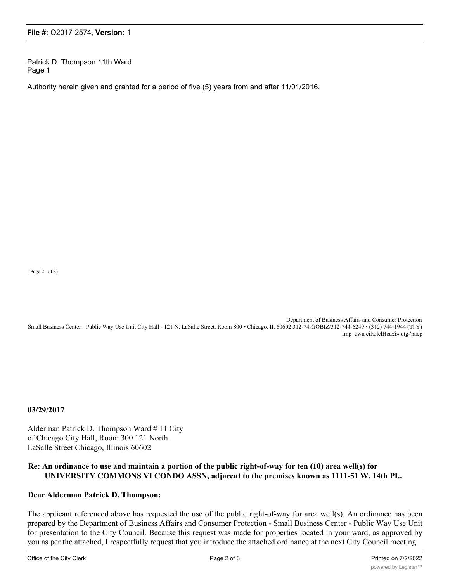Patrick D. Thompson 11th Ward Page 1

Authority herein given and granted for a period of five (5) years from and after 11/01/2016.

(Page 2 of 3)

Department of Business Affairs and Consumer Protection

Small Business Center - Public Way Use Unit City Hall - 121 N. LaSalle Street. Room 800 • Chicago. II. 60602 312-74-GOBIZ/312-744-6249 • (312) 744-1944 (Tl Y) Imp uwu cil\olelHea£i» otg-'hacp

**03/29/2017**

Alderman Patrick D. Thompson Ward # 11 City of Chicago City Hall, Room 300 121 North LaSalle Street Chicago, Illinois 60602

## **Re: An ordinance to use and maintain a portion of the public right-of-way for ten (10) area well(s) for UNIVERSITY COMMONS VI CONDO ASSN, adjacent to the premises known as 1111-51 W. 14th PI..**

## **Dear Alderman Patrick D. Thompson:**

The applicant referenced above has requested the use of the public right-of-way for area well(s). An ordinance has been prepared by the Department of Business Affairs and Consumer Protection - Small Business Center - Public Way Use Unit for presentation to the City Council. Because this request was made for properties located in your ward, as approved by you as per the attached, I respectfully request that you introduce the attached ordinance at the next City Council meeting.